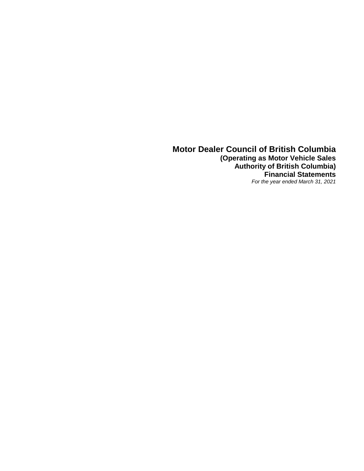**Motor Dealer Council of British Columbia (Operating as Motor Vehicle Sales Authority of British Columbia) Financial Statements** *For the year ended March 31, 2021*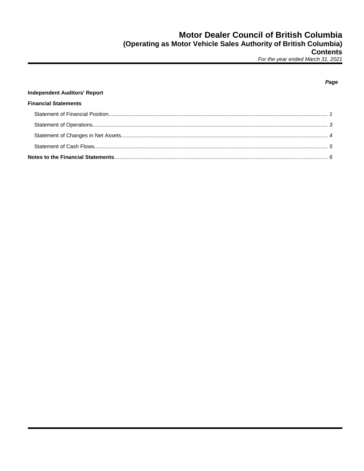# **Independent Auditors' Report Financial Statements**

### Page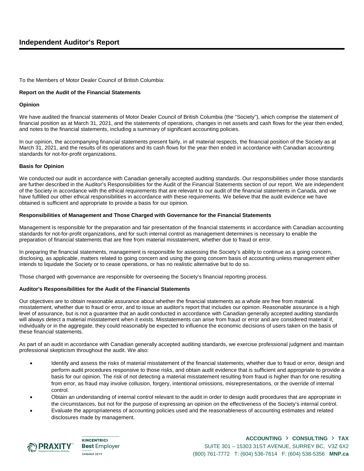## **Independent Auditor's Report**

To the Members of Motor Dealer Council of British Columbia:

#### **Report on the Audit of the Financial Statements**

#### **Opinion**

We have audited the financial statements of Motor Dealer Council of British Columbia (the "Society"), which comprise the statement of financial position as at March 31, 2021, and the statements of operations, changes in net assets and cash flows for the year then ended, and notes to the financial statements, including a summary of significant accounting policies.

In our opinion, the accompanying financial statements present fairly, in all material respects, the financial position of the Society as at March 31, 2021, and the results of its operations and its cash flows for the year then ended in accordance with Canadian accounting standards for not-for-profit organizations.

#### **Basis for Opinion**

We conducted our audit in accordance with Canadian generally accepted auditing standards. Our responsibilities under those standards are further described in the Auditor's Responsibilities for the Audit of the Financial Statements section of our report. We are independent of the Society in accordance with the ethical requirements that are relevant to our audit of the financial statements in Canada, and we have fulfilled our other ethical responsibilities in accordance with these requirements. We believe that the audit evidence we have obtained is sufficient and appropriate to provide a basis for our opinion.

#### **Responsibilities of Management and Those Charged with Governance for the Financial Statements**

Management is responsible for the preparation and fair presentation of the financial statements in accordance with Canadian accounting standards for not-for-profit organizations, and for such internal control as management determines is necessary to enable the preparation of financial statements that are free from material misstatement, whether due to fraud or error.

In preparing the financial statements, management is responsible for assessing the Society's ability to continue as a going concern, disclosing, as applicable, matters related to going concern and using the going concern basis of accounting unless management either intends to liquidate the Society or to cease operations, or has no realistic alternative but to do so.

Those charged with governance are responsible for overseeing the Society's financial reporting process.

#### **Auditor's Responsibilities for the Audit of the Financial Statements**

Our objectives are to obtain reasonable assurance about whether the financial statements as a whole are free from material misstatement, whether due to fraud or error, and to issue an auditor's report that includes our opinion. Reasonable assurance is a high level of assurance, but is not a guarantee that an audit conducted in accordance with Canadian generally accepted auditing standards will always detect a material misstatement when it exists. Misstatements can arise from fraud or error and are considered material if, individually or in the aggregate, they could reasonably be expected to influence the economic decisions of users taken on the basis of these financial statements.

As part of an audit in accordance with Canadian generally accepted auditing standards, we exercise professional judgment and maintain professional skepticism throughout the audit. We also:

- Identify and assess the risks of material misstatement of the financial statements, whether due to fraud or error, design and perform audit procedures responsive to those risks, and obtain audit evidence that is sufficient and appropriate to provide a basis for our opinion. The risk of not detecting a material misstatement resulting from fraud is higher than for one resulting from error, as fraud may involve collusion, forgery, intentional omissions, misrepresentations, or the override of internal control.
- Obtain an understanding of internal control relevant to the audit in order to design audit procedures that are appropriate in the circumstances, but not for the purpose of expressing an opinion on the effectiveness of the Society's internal control.
- Evaluate the appropriateness of accounting policies used and the reasonableness of accounting estimates and related disclosures made by management.



**KINCENTRIC> Best Employer CANADA 2019** 

### **ACCOUNTING** › **CONSULTING** › **TAX** SUITE 301 – 15303 31ST AVENUE, SURREY BC, V3Z 6X2 (800) 761-7772 T: (604) 536-7614 F: (604) 538-5356 **MNP.ca**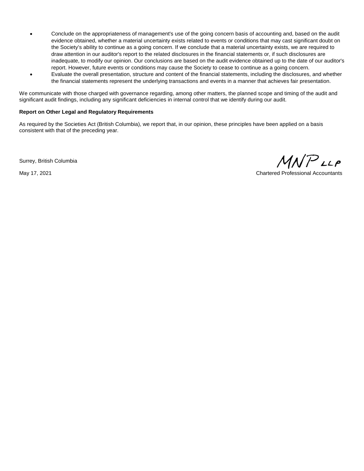- Conclude on the appropriateness of management's use of the going concern basis of accounting and, based on the audit evidence obtained, whether a material uncertainty exists related to events or conditions that may cast significant doubt on the Society's ability to continue as a going concern. If we conclude that a material uncertainty exists, we are required to draw attention in our auditor's report to the related disclosures in the financial statements or, if such disclosures are inadequate, to modify our opinion. Our conclusions are based on the audit evidence obtained up to the date of our auditor's report. However, future events or conditions may cause the Society to cease to continue as a going concern.
- Evaluate the overall presentation, structure and content of the financial statements, including the disclosures, and whether the financial statements represent the underlying transactions and events in a manner that achieves fair presentation.

We communicate with those charged with governance regarding, among other matters, the planned scope and timing of the audit and significant audit findings, including any significant deficiencies in internal control that we identify during our audit.

#### **Report on Other Legal and Regulatory Requirements**

As required by the Societies Act (British Columbia), we report that, in our opinion, these principles have been applied on a basis consistent with that of the preceding year.

Surrey, British Columbia

 $MNP$ LLP

May 17, 2021 Chartered Professional Accountants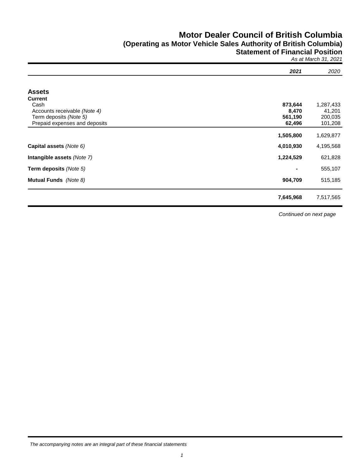# **Motor Dealer Council of British Columbia (Operating as Motor Vehicle Sales Authority of British Columbia) Statement of Financial Position**

*As at March 31, 2021*

|                               | 2021      | 2020      |
|-------------------------------|-----------|-----------|
|                               |           |           |
| <b>Assets</b>                 |           |           |
| <b>Current</b>                |           |           |
| Cash                          | 873,644   | 1,287,433 |
| Accounts receivable (Note 4)  | 8,470     | 41,201    |
| Term deposits (Note 5)        | 561,190   | 200,035   |
| Prepaid expenses and deposits | 62,496    | 101,208   |
|                               | 1,505,800 | 1,629,877 |
| Capital assets (Note 6)       | 4,010,930 | 4,195,568 |
| Intangible assets (Note 7)    | 1,224,529 | 621,828   |
| Term deposits (Note 5)        |           | 555,107   |
| <b>Mutual Funds</b> (Note 8)  | 904,709   | 515,185   |
|                               | 7,645,968 | 7,517,565 |

*Continued on next page*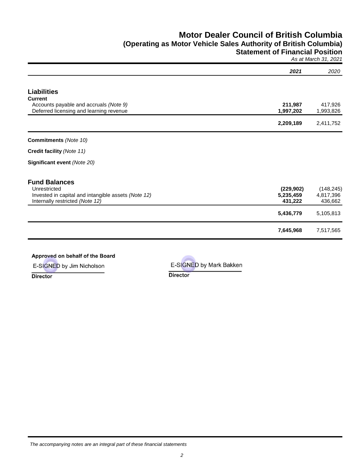# **Motor Dealer Council of British Columbia (Operating as Motor Vehicle Sales Authority of British Columbia) Statement of Financial Position**

*As at March 31, 2021*

|                                                     |            | - - ,      |
|-----------------------------------------------------|------------|------------|
|                                                     | 2021       | 2020       |
|                                                     |            |            |
| <b>Liabilities</b>                                  |            |            |
| <b>Current</b>                                      |            |            |
| Accounts payable and accruals (Note 9)              | 211,987    | 417,926    |
| Deferred licensing and learning revenue             | 1,997,202  | 1,993,826  |
|                                                     | 2,209,189  | 2,411,752  |
|                                                     |            |            |
| <b>Commitments</b> (Note 10)                        |            |            |
| Credit facility (Note 11)                           |            |            |
| Significant event (Note 20)                         |            |            |
| <b>Fund Balances</b>                                |            |            |
| Unrestricted                                        | (229, 902) | (148, 245) |
| Invested in capital and intangible assets (Note 12) | 5,235,459  | 4,817,396  |
| Internally restricted (Note 12)                     | 431,222    | 436,662    |
|                                                     |            |            |
|                                                     | 5,436,779  | 5,105,813  |
|                                                     | 7,645,968  | 7,517,565  |
|                                                     |            |            |

### Approved on behalf of the Board

E-SIGNED by Jim Nicholson

**Director** 

E-SIGNED by Mark Bakken

**Director**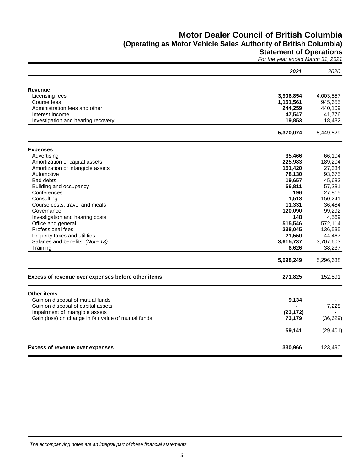# **Motor Dealer Council of British Columbia**

# **(Operating as Motor Vehicle Sales Authority of British Columbia)**

**Statement of Operations**

*For the year ended March 31, 2021*

|                                                     | 2021      | 2020      |
|-----------------------------------------------------|-----------|-----------|
|                                                     |           |           |
| Revenue                                             |           |           |
| Licensing fees                                      | 3,906,854 | 4,003,557 |
| Course fees                                         | 1,151,561 | 945,655   |
| Administration fees and other                       | 244,259   | 440,109   |
| Interest Income                                     | 47,547    | 41,776    |
| Investigation and hearing recovery                  | 19,853    | 18,432    |
|                                                     | 5,370,074 | 5,449,529 |
| <b>Expenses</b>                                     |           |           |
| Advertising                                         | 35,466    | 66,104    |
| Amortization of capital assets                      | 225,983   | 189,204   |
| Amortization of intangible assets                   | 151,420   | 27,334    |
| Automotive                                          | 78,130    | 93,675    |
| <b>Bad debts</b>                                    | 19,657    | 45,683    |
| Building and occupancy                              | 56,811    | 57,281    |
| Conferences                                         | 196       | 27,815    |
| Consulting                                          | 1,513     | 150,241   |
| Course costs, travel and meals                      | 11,331    | 36,484    |
| Governance                                          | 120,090   | 99,292    |
| Investigation and hearing costs                     | 148       | 4,569     |
| Office and general                                  | 515,546   | 572,114   |
| Professional fees                                   | 238,045   | 136,535   |
| Property taxes and utilities                        | 21,550    | 44,467    |
| Salaries and benefits (Note 13)                     | 3,615,737 | 3,707,603 |
| Training                                            | 6,626     | 38,237    |
|                                                     | 5,098,249 | 5,296,638 |
| Excess of revenue over expenses before other items  | 271,825   | 152,891   |
| <b>Other items</b>                                  |           |           |
| Gain on disposal of mutual funds                    | 9,134     |           |
| Gain on disposal of capital assets                  |           | 7,228     |
| Impairment of intangible assets                     | (23, 172) |           |
| Gain (loss) on change in fair value of mutual funds | 73,179    | (36, 629) |
|                                                     | 59,141    | (29, 401) |
| <b>Excess of revenue over expenses</b>              | 330,966   | 123,490   |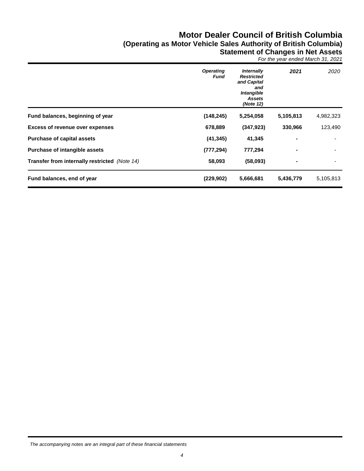# **Motor Dealer Council of British Columbia (Operating as Motor Vehicle Sales Authority of British Columbia) Statement of Changes in Net Assets**

*For the year ended March 31, 2021*

|                                               | <b>Operating</b><br>Fund | Internally<br><b>Restricted</b><br>and Capital<br>and<br>Intangible<br><b>Assets</b><br>(Note 12) | 2021      | 2020      |
|-----------------------------------------------|--------------------------|---------------------------------------------------------------------------------------------------|-----------|-----------|
| Fund balances, beginning of year              | (148, 245)               | 5,254,058                                                                                         | 5,105,813 | 4,982,323 |
| <b>Excess of revenue over expenses</b>        | 678,889                  | (347, 923)                                                                                        | 330,966   | 123,490   |
| <b>Purchase of capital assets</b>             | (41, 345)                | 41,345                                                                                            |           |           |
| <b>Purchase of intangible assets</b>          | (777, 294)               | 777,294                                                                                           |           |           |
| Transfer from internally restricted (Note 14) | 58,093                   | (58,093)                                                                                          | ۰         |           |
| Fund balances, end of year                    | (229, 902)               | 5,666,681                                                                                         | 5,436,779 | 5,105,813 |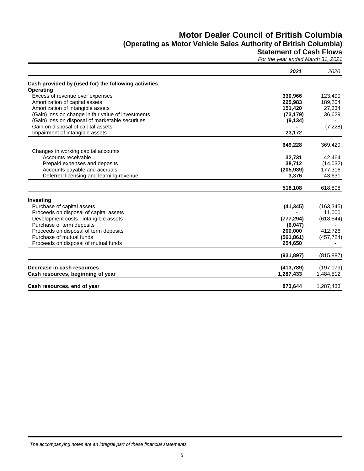# **Motor Dealer Council of British Columbia (Operating as Motor Vehicle Sales Authority of British Columbia)**

### **Statement of Cash Flows**

*For the year ended March 31, 2021*

|                                                      | 2021       | 2020       |
|------------------------------------------------------|------------|------------|
| Cash provided by (used for) the following activities |            |            |
| Operating                                            |            |            |
| Excess of revenue over expenses                      | 330,966    | 123,490    |
| Amortization of capital assets                       | 225,983    | 189,204    |
| Amortization of intangible assets                    | 151,420    | 27,334     |
| (Gain) loss on change in fair value of investments   | (73, 179)  | 36,629     |
| (Gain) loss on disposal of marketable securities     | (9, 134)   |            |
| Gain on disposal of capital assets                   |            | (7, 228)   |
| Impairment of intangible assets                      | 23,172     |            |
|                                                      | 649,228    | 369,429    |
| Changes in working capital accounts                  |            |            |
| Accounts receivable                                  | 32,731     | 42,464     |
| Prepaid expenses and deposits                        | 38,712     | (14, 032)  |
| Accounts payable and accruals                        | (205, 939) | 177,316    |
| Deferred licensing and learning revenue              | 3,376      | 43,631     |
|                                                      | 518,108    | 618,808    |
| Investing                                            |            |            |
| Purchase of capital assets                           | (41, 345)  | (163, 345) |
| Proceeds on disposal of capital assets               |            | 11,000     |
| Development costs - intangible assets                | (777, 294) | (618, 544) |
| Purchase of term deposits                            | (6,047)    |            |
| Proceeds on disposal of term deposits                | 200,000    | 412,726    |
| Purchase of mutual funds                             | (561, 861) | (457, 724) |
| Proceeds on disposal of mutual funds                 | 254,650    |            |
|                                                      | (931, 897) | (815, 887) |
| Decrease in cash resources                           | (413, 789) | (197,079)  |
| Cash resources, beginning of year                    | 1,287,433  | 1,484,512  |
| Cash resources, end of year                          | 873,644    | 1,287,433  |

*The accompanying notes are an integral part of these financial statements*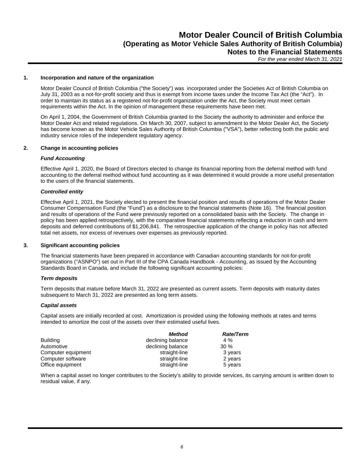#### **1. Incorporation and nature of the organization**

Motor Dealer Council of British Columbia ("the Society") was incorporated under the Societies Act of British Columbia on July 31, 2003 as a not-for-profit society and thus is exempt from income taxes under the Income Tax Act (the "Act"). In order to maintain its status as a registered not-for-profit organization under the Act, the Society must meet certain requirements within the Act. In the opinion of management these requirements have been met.

On April 1, 2004, the Government of British Columbia granted to the Society the authority to administer and enforce the Motor Dealer Act and related regulations. On March 30, 2007, subject to amendment to the Motor Dealer Act, the Society has become known as the Motor Vehicle Sales Authority of British Columbia ("VSA"), better reflecting both the public and industry service roles of the independent regulatory agency.

### **2. Change in accounting policies**

#### *Fund Accounting*

Effective April 1, 2020, the Board of Directors elected to change its financial reporting from the deferral method with fund accounting to the deferral method without fund accounting as it was determined it would provide a more useful presentation to the users of the financial statements.

#### *Controlled entity*

Effective April 1, 2021, the Society elected to present the financial position and results of operations of the Motor Dealer Consumer Compensation Fund (the "Fund") as a disclosure to the financial statements (Note 16). The financial position and results of operations of the Fund were previously reported on a consolidated basis with the Society. The change in policy has been applied retrospectively, with the comparative financial statements reflecting a reduction in cash and term deposits and deferred contributions of \$1,206,841. The retrospective application of the change in policy has not affected total net assets, nor excess of revenues over expenses as previously reported.

#### **3. Significant accounting policies**

The financial statements have been prepared in accordance with Canadian accounting standards for not-for-profit organizations ("ASNPO") set out in Part III of the CPA Canada Handbook - Accounting, as issued by the Accounting Standards Board in Canada, and include the following significant accounting policies:

#### *Term deposits*

Term deposits that mature before March 31, 2022 are presented as current assets. Term deposits with maturity dates subsequent to March 31, 2022 are presented as long term assets.

#### *Capital assets*

Capital assets are initially recorded at cost. Amortization is provided using the following methods at rates and terms intended to amortize the cost of the assets over their estimated useful lives.

|                    | Method            | Rate/Term |
|--------------------|-------------------|-----------|
| <b>Building</b>    | declining balance | 4 %       |
| Automotive         | declining balance | $30\%$    |
| Computer equipment | straight-line     | 3 years   |
| Computer software  | straight-line     | 2 years   |
| Office equipment   | straight-line     | 5 years   |

When a capital asset no longer contributes to the Society's ability to provide services, its carrying amount is written down to residual value, if any.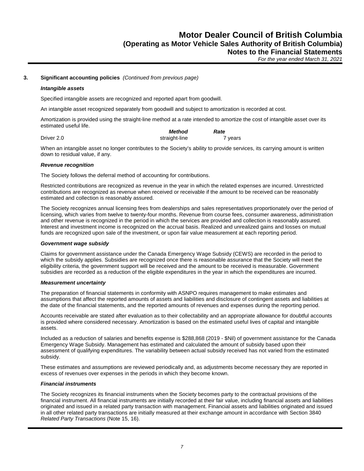#### **3. Significant accounting policies** *(Continued from previous page)*

#### *Intangible assets*

Specified intangible assets are recognized and reported apart from goodwill.

An intangible asset recognized separately from goodwill and subject to amortization is recorded at cost.

Amortization is provided using the straight-line method at a rate intended to amortize the cost of intangible asset over its estimated useful life.

|            | Method        | Rate    |
|------------|---------------|---------|
| Driver 2.0 | straight-line | 7 years |

When an intangible asset no longer contributes to the Society's ability to provide services, its carrying amount is written down to residual value, if any.

#### *Revenue recognition*

The Society follows the deferral method of accounting for contributions.

Restricted contributions are recognized as revenue in the year in which the related expenses are incurred. Unrestricted contributions are recognized as revenue when received or receivable if the amount to be received can be reasonably estimated and collection is reasonably assured.

The Society recognizes annual licensing fees from dealerships and sales representatives proportionately over the period of licensing, which varies from twelve to twenty-four months. Revenue from course fees, consumer awareness, administration and other revenue is recognized in the period in which the services are provided and collection is reasonably assured. Interest and investment income is recognized on the accrual basis. Realized and unrealized gains and losses on mutual funds are recognized upon sale of the investment, or upon fair value measurement at each reporting period.

#### *Government wage subsidy*

Claims for government assistance under the Canada Emergency Wage Subsidy (CEWS) are recorded in the period to which the subsidy applies. Subsidies are recognized once there is reasonable assurance that the Society will meet the eligibility criteria, the government support will be received and the amount to be received is measurable. Government subsidies are recorded as a reduction of the eligible expenditures in the year in which the expenditures are incurred.

#### *Measurement uncertainty*

The preparation of financial statements in conformity with ASNPO requires management to make estimates and assumptions that affect the reported amounts of assets and liabilities and disclosure of contingent assets and liabilities at the date of the financial statements, and the reported amounts of revenues and expenses during the reporting period.

Accounts receivable are stated after evaluation as to their collectability and an appropriate allowance for doubtful accounts is provided where considered necessary. Amortization is based on the estimated useful lives of capital and intangible assets.

Included as a reduction of salaries and benefits expense is \$288,868 (2019 - \$Nil) of government assistance for the Canada Emergency Wage Subsidy. Management has estimated and calculated the amount of subsidy based upon their assessment of qualifying expenditures. The variability between actual subsidy received has not varied from the estimated subsidy.

These estimates and assumptions are reviewed periodically and, as adjustments become necessary they are reported in excess of revenues over expenses in the periods in which they become known.

#### *Financial instruments*

The Society recognizes its financial instruments when the Society becomes party to the contractual provisions of the financial instrument. All financial instruments are initially recorded at their fair value, including financial assets and liabilities originated and issued in a related party transaction with management. Financial assets and liabilities originated and issued in all other related party transactions are initially measured at their exchange amount in accordance with Section 3840 *Related Party Transactions* (Note 15, 16).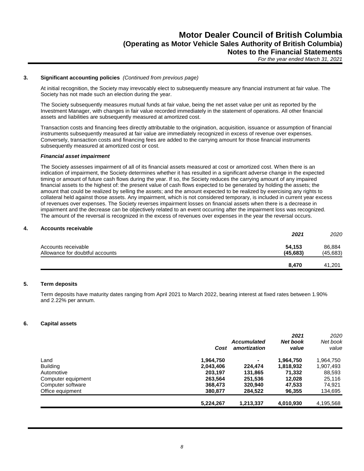#### **3. Significant accounting policies** *(Continued from previous page)*

At initial recognition, the Society may irrevocably elect to subsequently measure any financial instrument at fair value. The Society has not made such an election during the year.

The Society subsequently measures mutual funds at fair value, being the net asset value per unit as reported by the Investment Manager, with changes in fair value recorded immediately in the statement of operations. All other financial assets and liabilities are subsequently measured at amortized cost.

Transaction costs and financing fees directly attributable to the origination, acquisition, issuance or assumption of financial instruments subsequently measured at fair value are immediately recognized in excess of revenue over expenses. Conversely, transaction costs and financing fees are added to the carrying amount for those financial instruments subsequently measured at amortized cost or cost.

#### *Financial asset impairment*

The Society assesses impairment of all of its financial assets measured at cost or amortized cost. When there is an indication of impairment, the Society determines whether it has resulted in a significant adverse change in the expected timing or amount of future cash flows during the year. If so, the Society reduces the carrying amount of any impaired financial assets to the highest of: the present value of cash flows expected to be generated by holding the assets; the amount that could be realized by selling the assets; and the amount expected to be realized by exercising any rights to collateral held against those assets. Any impairment, which is not considered temporary, is included in current year excess of revenues over expenses. The Society reverses impairment losses on financial assets when there is a decrease in impairment and the decrease can be objectively related to an event occurring after the impairment loss was recognized. The amount of the reversal is recognized in the excess of revenues over expenses in the year the reversal occurs.

### **4. Accounts receivable**

|                                 | 2021      | 2020      |
|---------------------------------|-----------|-----------|
| Accounts receivable             | 54,153    | 86,884    |
| Allowance for doubtful accounts | (45, 683) | (45, 683) |
|                                 | 8,470     | 41.201    |

### **5. Term deposits**

Term deposits have maturity dates ranging from April 2021 to March 2022, bearing interest at fixed rates between 1.90% and 2.22% per annum.

#### **6. Capital assets**

|                    |           |                    | 2021      | 2020      |
|--------------------|-----------|--------------------|-----------|-----------|
|                    |           | <b>Accumulated</b> | Net book  | Net book  |
|                    | Cost      | amortization       | value     | value     |
| Land               | 1,964,750 | ۰                  | 1,964,750 | 1,964,750 |
| <b>Building</b>    | 2,043,406 | 224.474            | 1,818,932 | 1,907,493 |
| Automotive         | 203.197   | 131,865            | 71,332    | 88,593    |
| Computer equipment | 263.564   | 251.536            | 12.028    | 25,116    |
| Computer software  | 368,473   | 320.940            | 47,533    | 74,921    |
| Office equipment   | 380.877   | 284.522            | 96,355    | 134,695   |
|                    | 5,224,267 | 1,213,337          | 4,010,930 | 4,195,568 |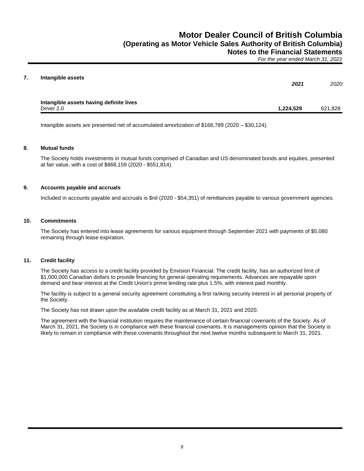| Intangible assets                       | 2021      | 2020    |
|-----------------------------------------|-----------|---------|
| Intangible assets having definite lives |           |         |
| Driver 2.0                              | 1,224,529 | 621,828 |

Intangible assets are presented net of accumulated amortization of \$168,789 (2020 – \$30,124).

#### **8. Mutual funds**

The Society holds investments in mutual funds comprised of Canadian and US denominated bonds and equities, presented at fair value, with a cost of \$868,159 (2020 - \$551,814).

#### **9. Accounts payable and accruals**

Included in accounts payable and accruals is \$nil (2020 - \$54,351) of remittances payable to various government agencies.

#### **10. Commitments**

The Society has entered into lease agreements for various equipment through September 2021 with payments of \$5,080 remaining through lease expiration.

#### **11. Credit facility**

The Society has access to a credit facility provided by Envision Financial. The credit facility, has an authorized limit of \$1,000,000 Canadian dollars to provide financing for general operating requirements. Advances are repayable upon demand and bear interest at the Credit Union's prime lending rate plus 1.5%, with interest paid monthly.

The facility is subject to a general security agreement constituting a first ranking security interest in all personal property of the Society.

The Society has not drawn upon the available credit facility as at March 31, 2021 and 2020.

The agreement with the financial institution requires the maintenance of certain financial covenants of the Society. As of March 31, 2021, the Society is in compliance with these financial covenants. It is managements opinion that the Society is likely to remain in compliance with these covenants throughout the next twelve months subsequent to March 31, 2021.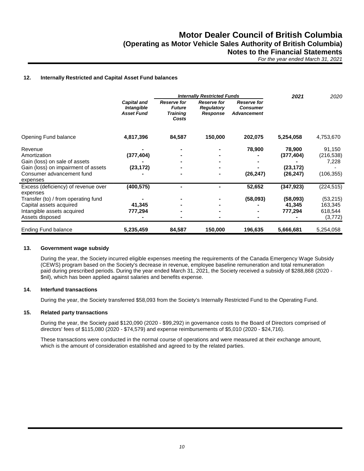#### **12. Internally Restricted and Capital Asset Fund balances**

|                                       |                                                       |                                                                 | <b>Internally Restricted Funds</b>                         |                                                             | 2021       | 2020       |  |
|---------------------------------------|-------------------------------------------------------|-----------------------------------------------------------------|------------------------------------------------------------|-------------------------------------------------------------|------------|------------|--|
|                                       | <b>Capital and</b><br>Intangible<br><b>Asset Fund</b> | <b>Reserve for</b><br><b>Future</b><br><b>Training</b><br>Costs | <b>Reserve for</b><br><b>Regulatory</b><br><b>Response</b> | <b>Reserve for</b><br><b>Consumer</b><br><b>Advancement</b> |            |            |  |
| Opening Fund balance                  | 4,817,396                                             | 84,587                                                          | 150,000                                                    | 202,075                                                     | 5,254,058  | 4,753,670  |  |
| Revenue                               |                                                       |                                                                 |                                                            | 78,900                                                      | 78,900     | 91,150     |  |
| Amortization                          | (377, 404)                                            |                                                                 |                                                            |                                                             | (377, 404) | (216, 538) |  |
| Gain (loss) on sale of assets         |                                                       |                                                                 |                                                            |                                                             |            | 7,228      |  |
| Gain (loss) on impairment of assets   | (23, 172)                                             |                                                                 |                                                            |                                                             | (23, 172)  |            |  |
| Consumer advancement fund<br>expenses |                                                       |                                                                 |                                                            | (26, 247)                                                   | (26, 247)  | (106, 355) |  |
| Excess (deficiency) of revenue over   | (400, 575)                                            |                                                                 |                                                            | 52,652                                                      | (347, 923) | (224, 515) |  |
| expenses                              |                                                       |                                                                 |                                                            |                                                             |            |            |  |
| Transfer (to) / from operating fund   |                                                       |                                                                 |                                                            | (58,093)                                                    | (58,093)   | (53, 215)  |  |
| Capital assets acquired               | 41,345                                                |                                                                 |                                                            |                                                             | 41,345     | 163,345    |  |
| Intangible assets acquired            | 777,294                                               |                                                                 |                                                            |                                                             | 777,294    | 618,544    |  |
| Assets disposed                       |                                                       |                                                                 |                                                            |                                                             |            | (3,772)    |  |
| Ending Fund balance                   | 5,235,459                                             | 84,587                                                          | 150,000                                                    | 196,635                                                     | 5,666,681  | 5,254,058  |  |

### **13. Government wage subsidy**

During the year, the Society incurred eligible expenses meeting the requirements of the Canada Emergency Wage Subsidy (CEWS) program based on the Society's decrease in revenue, employee baseline remuneration and total remuneration paid during prescribed periods. During the year ended March 31, 2021, the Society received a subsidy of \$288,868 (2020 - \$nil), which has been applied against salaries and benefits expense.

#### **14. Interfund transactions**

During the year, the Society transferred \$58,093 from the Society's Internally Restricted Fund to the Operating Fund.

#### **15. Related party transactions**

During the year, the Society paid \$120,090 (2020 - \$99,292) in governance costs to the Board of Directors comprised of directors' fees of \$115,080 (2020 - \$74,579) and expense reimbursements of \$5,010 (2020 - \$24,716).

These transactions were conducted in the normal course of operations and were measured at their exchange amount, which is the amount of consideration established and agreed to by the related parties.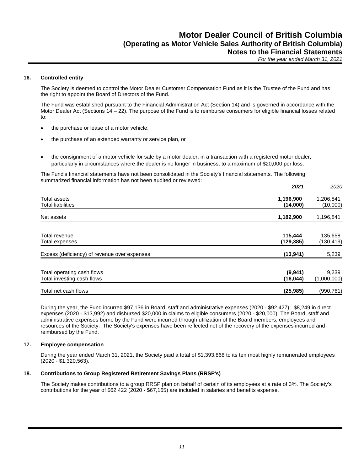#### **16. Controlled entity**

The Society is deemed to control the Motor Dealer Customer Compensation Fund as it is the Trustee of the Fund and has the right to appoint the Board of Directors of the Fund.

The Fund was established pursuant to the Financial Administration Act (Section 14) and is governed in accordance with the Motor Dealer Act (Sections 14 – 22). The purpose of the Fund is to reimburse consumers for eligible financial losses related to:

- the purchase or lease of a motor vehicle,
- the purchase of an extended warranty or service plan, or
- the consignment of a motor vehicle for sale by a motor dealer, in a transaction with a registered motor dealer, particularly in circumstances where the dealer is no longer in business, to a maximum of \$20,000 per loss.

The Fund's financial statements have not been consolidated in the Society's financial statements. The following summarized financial information has not been audited or reviewed:

|                                                          | 2021                  | 2020                  |
|----------------------------------------------------------|-----------------------|-----------------------|
| Total assets<br><b>Total liabilities</b>                 | 1,196,900<br>(14,000) | 1,206,841<br>(10,000) |
| Net assets                                               | 1,182,900             | 1,196,841             |
| Total revenue<br>Total expenses                          | 115,444<br>(129, 385) | 135,658<br>(130, 419) |
| Excess (deficiency) of revenue over expenses             | (13, 941)             | 5,239                 |
| Total operating cash flows<br>Total investing cash flows | (9,941)<br>(16, 044)  | 9,239<br>(1,000,000)  |
| Total net cash flows                                     | (25, 985)             | (990, 761)            |

During the year, the Fund incurred \$97,136 in Board, staff and administrative expenses (2020 - \$92,427), \$8,249 in direct expenses (2020 - \$13,992) and disbursed \$20,000 in claims to eligible consumers (2020 - \$20,000). The Board, staff and administrative expenses borne by the Fund were incurred through utilization of the Board members, employees and resources of the Society. The Society's expenses have been reflected net of the recovery of the expenses incurred and reimbursed by the Fund.

#### **17. Employee compensation**

During the year ended March 31, 2021, the Society paid a total of \$1,393,868 to its ten most highly remunerated employees (2020 - \$1,320,563).

#### **18. Contributions to Group Registered Retirement Savings Plans (RRSP's)**

The Society makes contributions to a group RRSP plan on behalf of certain of its employees at a rate of 3%. The Society's contributions for the year of \$62,422 (2020 - \$67,165) are included in salaries and benefits expense.